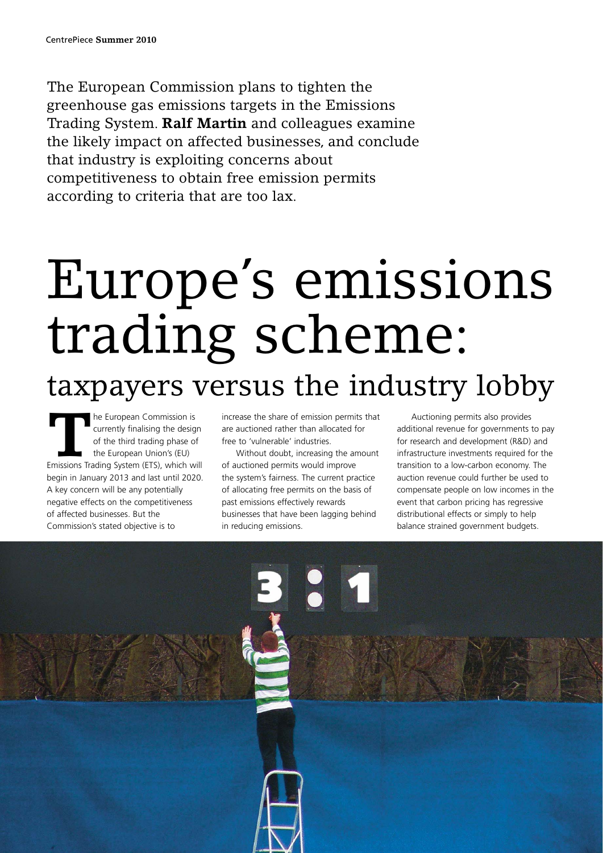The European Commission plans to tighten the greenhouse gas emissions targets in the Emissions Trading System. **Ralf Martin** and colleagues examine the likely impact on affected businesses, and conclude that industry is exploiting concerns about competitiveness to obtain free emission permits according to criteria that are too lax.

# Europe's emissions trading scheme: taxpayers versus the industry lobby

**THE European Commission is**<br>
currently finalising the design<br>
of the third trading phase of<br>
the European Union's (EU)<br>
Emissions Trading System (ETS), which will currently finalising the design of the third trading phase of the European Union's (EU) begin in January 2013 and last until 2020. A key concern will be any potentially negative effects on the competitiveness of affected businesses. But the Commission's stated objective is to

increase the share of emission permits that are auctioned rather than allocated for free to 'vulnerable' industries.

Without doubt, increasing the amount of auctioned permits would improve the system's fairness. The current practice of allocating free permits on the basis of past emissions effectively rewards businesses that have been lagging behind in reducing emissions.

Auctioning permits also provides additional revenue for governments to pay for research and development (R&D) and infrastructure investments required for the transition to a low-carbon economy. The auction revenue could further be used to compensate people on low incomes in the event that carbon pricing has regressive distributional effects or simply to help balance strained government budgets.

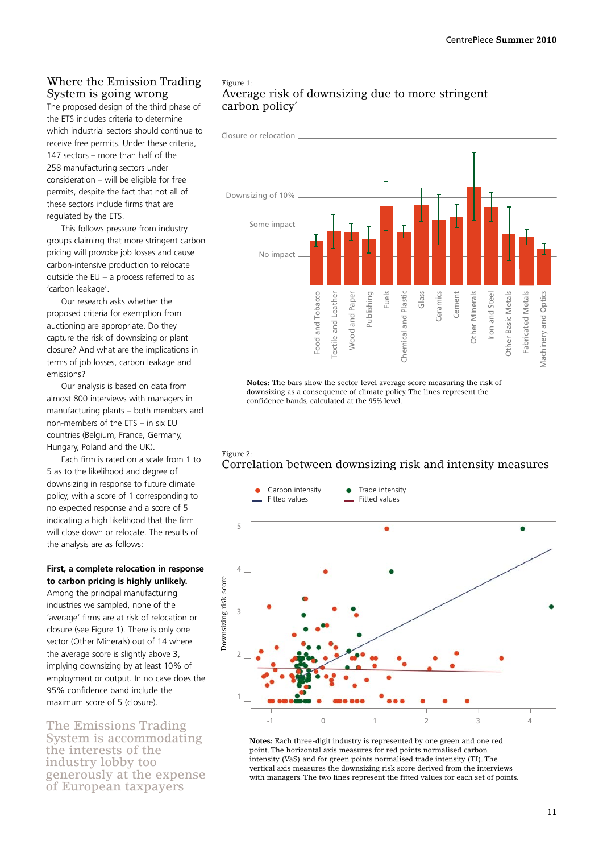# Where the Emission Trading System is going wrong

The proposed design of the third phase of the ETS includes criteria to determine which industrial sectors should continue to receive free permits. Under these criteria, 147 sectors – more than half of the 258 manufacturing sectors under consideration – will be eligible for free permits, despite the fact that not all of these sectors include firms that are regulated by the ETS.

This follows pressure from industry groups claiming that more stringent carbon pricing will provoke job losses and cause carbon-intensive production to relocate outside the EU – a process referred to as 'carbon leakage'.

Our research asks whether the proposed criteria for exemption from auctioning are appropriate. Do they capture the risk of downsizing or plant closure? And what are the implications in terms of job losses, carbon leakage and emissions?

Our analysis is based on data from almost 800 interviews with managers in manufacturing plants – both members and non-members of the ETS – in six EU countries (Belgium, France, Germany, Hungary, Poland and the UK).

Each firm is rated on a scale from 1 to 5 as to the likelihood and degree of downsizing in response to future climate policy, with a score of 1 corresponding to no expected response and a score of 5 indicating a high likelihood that the firm will close down or relocate. The results of the analysis are as follows:

#### **First, a complete relocation in response to carbon pricing is highly unlikely.**

Among the principal manufacturing industries we sampled, none of the 'average' firms are at risk of relocation or closure (see Figure 1). There is only one sector (Other Minerals) out of 14 where the average score is slightly above 3, implying downsizing by at least 10% of employment or output. In no case does the 95% confidence band include the maximum score of 5 (closure).

The Emissions Trading System is accommodating the interests of the industry lobby too generously at the expense of European taxpayers

# Figure 1: Average risk of downsizing due to more stringent carbon policy'



**Notes:** The bars show the sector-level average score measuring the risk of downsizing as a consequence of climate policy. The lines represent the confidence bands, calculated at the 95% level.

## Figure 2: Correlation between downsizing risk and intensity measures



**Notes:** Each three-digit industry is represented by one green and one red point. The horizontal axis measures for red points normalised carbon intensity (VaS) and for green points normalised trade intensity (TI). The vertical axis measures the downsizing risk score derived from the interviews with managers. The two lines represent the fitted values for each set of points.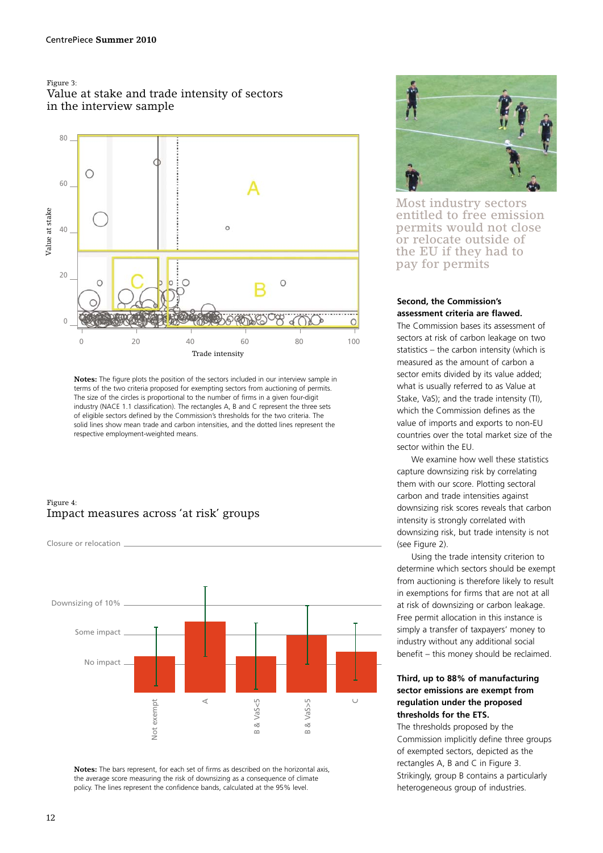#### Figure 3:





**Notes:** The figure plots the position of the sectors included in our interview sample in terms of the two criteria proposed for exempting sectors from auctioning of permits. The size of the circles is proportional to the number of firms in a given four-digit industry (NACE 1.1 classification). The rectangles A, B and C represent the three sets of eligible sectors defined by the Commission's thresholds for the two criteria. The solid lines show mean trade and carbon intensities, and the dotted lines represent the respective employment-weighted means.

## Figure 4: Impact measures across 'at risk' groups



**Notes:** The bars represent, for each set of firms as described on the horizontal axis, the average score measuring the risk of downsizing as a consequence of climate policy. The lines represent the confidence bands, calculated at the 95% level.



Most industry sectors entitled to free emission permits would not close or relocate outside of the EU if they had to pay for permits

#### **Second, the Commission's assessment criteria are flawed.**

The Commission bases its assessment of sectors at risk of carbon leakage on two statistics – the carbon intensity (which is measured as the amount of carbon a sector emits divided by its value added; what is usually referred to as Value at Stake, VaS); and the trade intensity (TI), which the Commission defines as the value of imports and exports to non-EU countries over the total market size of the sector within the EU.

We examine how well these statistics capture downsizing risk by correlating them with our score. Plotting sectoral carbon and trade intensities against downsizing risk scores reveals that carbon intensity is strongly correlated with downsizing risk, but trade intensity is not (see Figure 2).

Using the trade intensity criterion to determine which sectors should be exempt from auctioning is therefore likely to result in exemptions for firms that are not at all at risk of downsizing or carbon leakage. Free permit allocation in this instance is simply a transfer of taxpayers' money to industry without any additional social benefit – this money should be reclaimed.

## **Third, up to 88% of manufacturing sector emissions are exempt from regulation under the proposed thresholds for the ETS.**

The thresholds proposed by the Commission implicitly define three groups of exempted sectors, depicted as the rectangles A, B and C in Figure 3. Strikingly, group B contains a particularly heterogeneous group of industries.